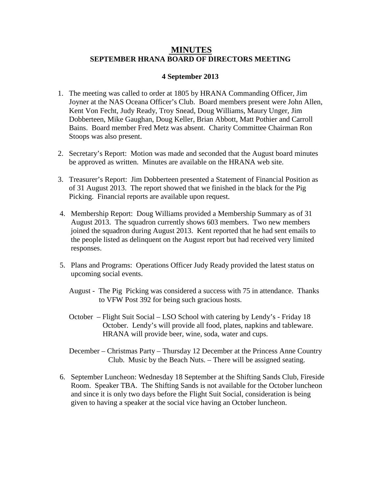## **MINUTES SEPTEMBER HRANA BOARD OF DIRECTORS MEETING**

## **4 September 2013**

- 1. The meeting was called to order at 1805 by HRANA Commanding Officer, Jim Joyner at the NAS Oceana Officer's Club. Board members present were John Allen, Kent Von Fecht, Judy Ready, Troy Snead, Doug Williams, Maury Unger, Jim Dobberteen, Mike Gaughan, Doug Keller, Brian Abbott, Matt Pothier and Carroll Bains. Board member Fred Metz was absent. Charity Committee Chairman Ron Stoops was also present.
- 2. Secretary's Report: Motion was made and seconded that the August board minutes be approved as written. Minutes are available on the HRANA web site.
- 3. Treasurer's Report: Jim Dobberteen presented a Statement of Financial Position as of 31 August 2013. The report showed that we finished in the black for the Pig Picking. Financial reports are available upon request.
- 4. Membership Report: Doug Williams provided a Membership Summary as of 31 August 2013. The squadron currently shows 603 members. Two new members joined the squadron during August 2013. Kent reported that he had sent emails to the people listed as delinquent on the August report but had received very limited responses.
- 5. Plans and Programs: Operations Officer Judy Ready provided the latest status on upcoming social events.
	- August The Pig Picking was considered a success with 75 in attendance. Thanks to VFW Post 392 for being such gracious hosts.
	- October Flight Suit Social LSO School with catering by Lendy's Friday 18 October. Lendy's will provide all food, plates, napkins and tableware. HRANA will provide beer, wine, soda, water and cups.
	- December Christmas Party Thursday 12 December at the Princess Anne Country Club. Music by the Beach Nuts. – There will be assigned seating.
- 6. September Luncheon: Wednesday 18 September at the Shifting Sands Club, Fireside Room. Speaker TBA. The Shifting Sands is not available for the October luncheon and since it is only two days before the Flight Suit Social, consideration is being given to having a speaker at the social vice having an October luncheon.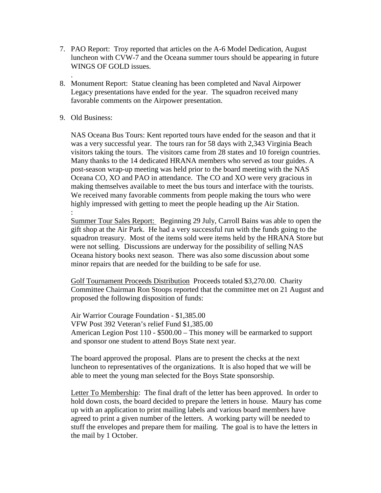- 7. PAO Report: Troy reported that articles on the A-6 Model Dedication, August luncheon with CVW-7 and the Oceana summer tours should be appearing in future WINGS OF GOLD issues.
- . 8. Monument Report: Statue cleaning has been completed and Naval Airpower Legacy presentations have ended for the year. The squadron received many favorable comments on the Airpower presentation.
- 9. Old Business:

NAS Oceana Bus Tours: Kent reported tours have ended for the season and that it was a very successful year. The tours ran for 58 days with 2,343 Virginia Beach visitors taking the tours. The visitors came from 28 states and 10 foreign countries. Many thanks to the 14 dedicated HRANA members who served as tour guides. A post-season wrap-up meeting was held prior to the board meeting with the NAS Oceana CO, XO and PAO in attendance. The CO and XO were very gracious in making themselves available to meet the bus tours and interface with the tourists. We received many favorable comments from people making the tours who were highly impressed with getting to meet the people heading up the Air Station. :

Summer Tour Sales Report: Beginning 29 July, Carroll Bains was able to open the gift shop at the Air Park. He had a very successful run with the funds going to the squadron treasury. Most of the items sold were items held by the HRANA Store but were not selling. Discussions are underway for the possibility of selling NAS Oceana history books next season. There was also some discussion about some minor repairs that are needed for the building to be safe for use.

 Golf Tournament Proceeds Distribution Proceeds totaled \$3,270.00. Charity Committee Chairman Ron Stoops reported that the committee met on 21 August and proposed the following disposition of funds:

 Air Warrior Courage Foundation - \$1,385.00 VFW Post 392 Veteran's relief Fund \$1,385.00 American Legion Post 110 - \$500.00 – This money will be earmarked to support and sponsor one student to attend Boys State next year.

The board approved the proposal. Plans are to present the checks at the next luncheon to representatives of the organizations. It is also hoped that we will be able to meet the young man selected for the Boys State sponsorship.

Letter To Membership: The final draft of the letter has been approved. In order to hold down costs, the board decided to prepare the letters in house. Maury has come up with an application to print mailing labels and various board members have agreed to print a given number of the letters. A working party will be needed to stuff the envelopes and prepare them for mailing. The goal is to have the letters in the mail by 1 October.